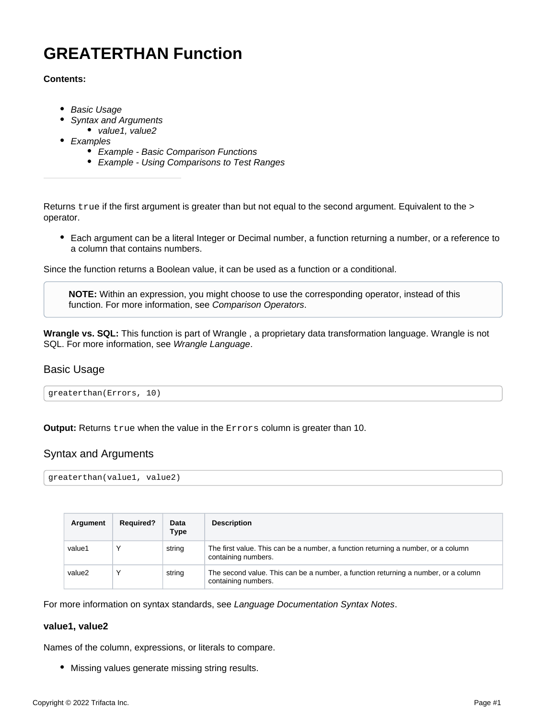# **GREATERTHAN Function**

#### **Contents:**

- [Basic Usage](#page-0-0)
- [Syntax and Arguments](#page-0-1)
- [value1, value2](#page-0-2)
- [Examples](#page-1-0)
	- [Example Basic Comparison Functions](#page-1-1)
	- [Example Using Comparisons to Test Ranges](#page-3-0)

Returns true if the first argument is greater than but not equal to the second argument. Equivalent to the > operator.

Each argument can be a literal Integer or Decimal number, a function returning a number, or a reference to a column that contains numbers.

Since the function returns a Boolean value, it can be used as a function or a conditional.

**NOTE:** Within an expression, you might choose to use the corresponding operator, instead of this function. For more information, see [Comparison Operators](https://docs.trifacta.com/display/AWS/Comparison+Operators).

**Wrangle vs. SQL:** This function is part of Wrangle , a proprietary data transformation language. Wrangle is not SQL. For more information, see [Wrangle Language](https://docs.trifacta.com/display/AWS/Wrangle+Language).

# <span id="page-0-0"></span>Basic Usage

greaterthan(Errors, 10)

**Output:** Returns true when the value in the Errors column is greater than 10.

# <span id="page-0-1"></span>Syntax and Arguments

```
greaterthan(value1, value2)
```

| Argument | <b>Required?</b> | Data<br>Type | <b>Description</b>                                                                                        |
|----------|------------------|--------------|-----------------------------------------------------------------------------------------------------------|
| value1   |                  | string       | The first value. This can be a number, a function returning a number, or a column<br>containing numbers.  |
| value2   |                  | string       | The second value. This can be a number, a function returning a number, or a column<br>containing numbers. |

For more information on syntax standards, see [Language Documentation Syntax Notes](https://docs.trifacta.com/display/AWS/Language+Documentation+Syntax+Notes).

#### <span id="page-0-2"></span>**value1, value2**

Names of the column, expressions, or literals to compare.

Missing values generate missing string results.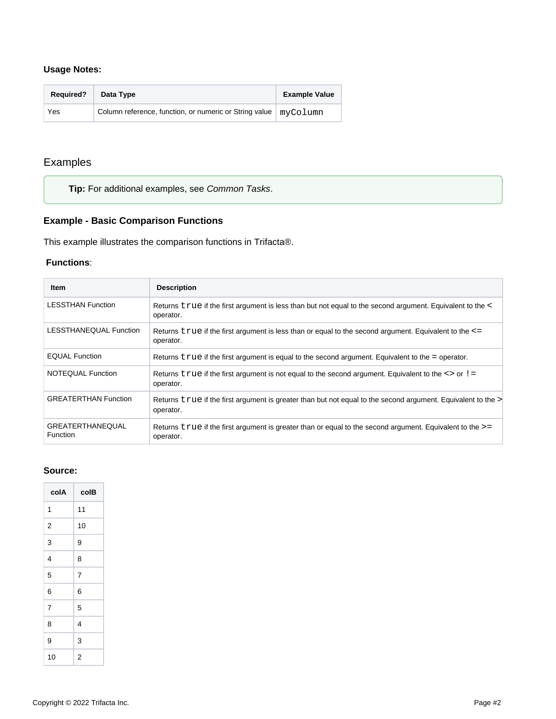## **Usage Notes:**

| <b>Required?</b> | Data Type                                                              | <b>Example Value</b> |
|------------------|------------------------------------------------------------------------|----------------------|
| Yes              | Column reference, function, or numeric or String value $\mid$ myColumn |                      |

# <span id="page-1-0"></span>Examples

**Tip:** For additional examples, see [Common Tasks](https://docs.trifacta.com/display/AWS/Common+Tasks).

# <span id="page-1-1"></span>**Example - Basic Comparison Functions**

This example illustrates the comparison functions in Trifacta®.

#### **Functions**:

| Item                                       | <b>Description</b>                                                                                                        |
|--------------------------------------------|---------------------------------------------------------------------------------------------------------------------------|
| <b>LESSTHAN Function</b>                   | Returns true if the first argument is less than but not equal to the second argument. Equivalent to the <<br>operator.    |
| LESSTHANEQUAL Function                     | Returns $true$ if the first argument is less than or equal to the second argument. Equivalent to the $\le$ =<br>operator. |
| <b>EQUAL Function</b>                      | Returns $true$ if the first argument is equal to the second argument. Equivalent to the = operator.                       |
| NOTEQUAL Function                          | Returns $true$ if the first argument is not equal to the second argument. Equivalent to the $\le$ > or ! =<br>operator.   |
| <b>GREATERTHAN Function</b>                | Returns true if the first argument is greater than but not equal to the second argument. Equivalent to the<br>operator.   |
| <b>GREATERTHANEQUAL</b><br><b>Function</b> | Returns $true$ if the first argument is greater than or equal to the second argument. Equivalent to the $>=$<br>operator. |

#### **Source:**

| colA           | colB |
|----------------|------|
| 1              | 11   |
| 2              | 10   |
| 3              | 9    |
| 4              | 8    |
| 5              | 7    |
| 6              | 6    |
| $\overline{7}$ | 5    |
| 8              | 4    |
| 9              | 3    |
| 10             | 2    |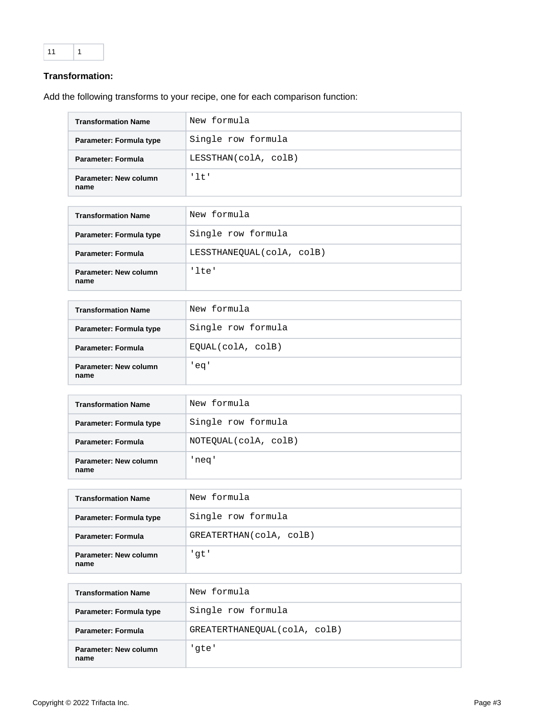## **Transformation:**

Add the following transforms to your recipe, one for each comparison function:

| <b>Transformation Name</b>    | New formula          |
|-------------------------------|----------------------|
| Parameter: Formula type       | Single row formula   |
| <b>Parameter: Formula</b>     | LESSTHAN(colA, colB) |
| Parameter: New column<br>name | '1t'                 |

| <b>Transformation Name</b>    | New formula               |
|-------------------------------|---------------------------|
| Parameter: Formula type       | Single row formula        |
| <b>Parameter: Formula</b>     | LESSTHANEOUAL(colA, colB) |
| Parameter: New column<br>name | 'lte'                     |

| <b>Transformation Name</b>    | New formula        |
|-------------------------------|--------------------|
| Parameter: Formula type       | Single row formula |
| Parameter: Formula            | EOUAL(colA, colB)  |
| Parameter: New column<br>name | 'eq'               |

| <b>Transformation Name</b>    | New formula          |
|-------------------------------|----------------------|
| Parameter: Formula type       | Single row formula   |
| Parameter: Formula            | NOTEQUAL(colA, colB) |
| Parameter: New column<br>name | 'neq'                |

| <b>Transformation Name</b>    | New formula             |
|-------------------------------|-------------------------|
| Parameter: Formula type       | Single row formula      |
| Parameter: Formula            | GREATERTHAN(colA, colB) |
| Parameter: New column<br>name | 'qt'                    |

| <b>Transformation Name</b>    | New formula                  |
|-------------------------------|------------------------------|
| Parameter: Formula type       | Single row formula           |
| <b>Parameter: Formula</b>     | GREATERTHANEQUAL(colA, colB) |
| Parameter: New column<br>name | 'qte'                        |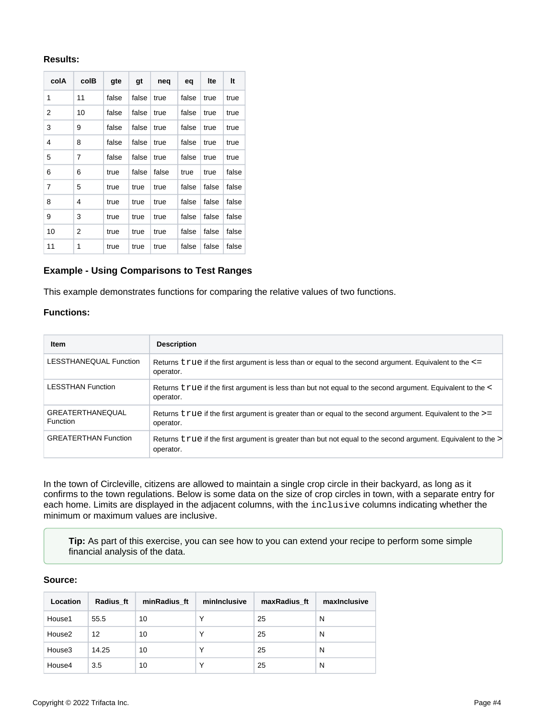#### **Results:**

| colA | colB | gte   | gt    | neq   | eq    | Ite   | It    |
|------|------|-------|-------|-------|-------|-------|-------|
| 1    | 11   | false | false | true  | false | true  | true  |
| 2    | 10   | false | false | true  | false | true  | true  |
| 3    | 9    | false | false | true  | false | true  | true  |
| 4    | 8    | false | false | true  | false | true  | true  |
| 5    | 7    | false | false | true  | false | true  | true  |
| 6    | 6    | true  | false | false | true  | true  | false |
| 7    | 5    | true  | true  | true  | false | false | false |
| 8    | 4    | true  | true  | true  | false | false | false |
| 9    | 3    | true  | true  | true  | false | false | false |
| 10   | 2    | true  | true  | true  | false | false | false |
| 11   | 1    | true  | true  | true  | false | false | false |

#### <span id="page-3-0"></span>**Example - Using Comparisons to Test Ranges**

This example demonstrates functions for comparing the relative values of two functions.

#### **Functions:**

| <b>Item</b>                         | <b>Description</b>                                                                                                           |
|-------------------------------------|------------------------------------------------------------------------------------------------------------------------------|
| LESSTHANEQUAL Function              | Returns $true$ if the first argument is less than or equal to the second argument. Equivalent to the $\le$ =<br>operator.    |
| <b>LESSTHAN Function</b>            | Returns true if the first argument is less than but not equal to the second argument. Equivalent to the <<br>operator.       |
| <b>GREATERTHANEQUAL</b><br>Function | Returns $true$ if the first argument is greater than or equal to the second argument. Equivalent to the $\ge$ =<br>operator. |
| <b>GREATERTHAN Function</b>         | Returns true if the first argument is greater than but not equal to the second argument. Equivalent to the<br>operator.      |

In the town of Circleville, citizens are allowed to maintain a single crop circle in their backyard, as long as it confirms to the town regulations. Below is some data on the size of crop circles in town, with a separate entry for each home. Limits are displayed in the adjacent columns, with the inclusive columns indicating whether the minimum or maximum values are inclusive.

**Tip:** As part of this exercise, you can see how to you can extend your recipe to perform some simple financial analysis of the data.

## **Source:**

| Location | Radius ft | minRadius ft | minInclusive | maxRadius ft | maxinclusive |
|----------|-----------|--------------|--------------|--------------|--------------|
| House1   | 55.5      | 10           | $\checkmark$ | 25           | N            |
| House2   | 12        | 10           | $\checkmark$ | 25           | N            |
| House3   | 14.25     | 10           |              | 25           | N            |
| House4   | 3.5       | 10           |              | 25           | N            |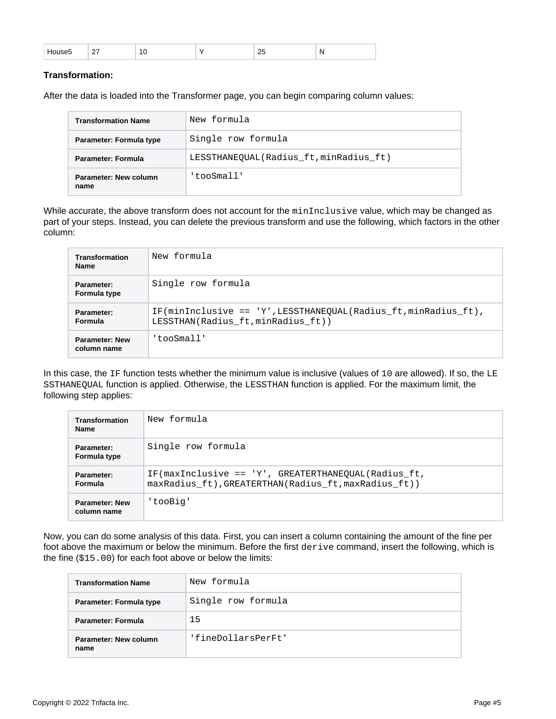|  | -- | __ |  | __ | n<br>$\cdot$ . |
|--|----|----|--|----|----------------|
|--|----|----|--|----|----------------|

#### **Transformation:**

After the data is loaded into the Transformer page, you can begin comparing column values:

| <b>Transformation Name</b>    | New formula                           |
|-------------------------------|---------------------------------------|
| Parameter: Formula type       | Single row formula                    |
| <b>Parameter: Formula</b>     | LESSTHANEQUAL(Radius_ft,minRadius_ft) |
| Parameter: New column<br>name | 'tooSmall'                            |

While accurate, the above transform does not account for the minInclusive value, which may be changed as part of your steps. Instead, you can delete the previous transform and use the following, which factors in the other column:

| <b>Transformation</b><br><b>Name</b> | New formula                                                                                                  |
|--------------------------------------|--------------------------------------------------------------------------------------------------------------|
| Parameter:<br>Formula type           | Single row formula                                                                                           |
| Parameter:<br><b>Formula</b>         | $IF(\text{minInclusive} == 'Y'.LESSTHANEOUAL(Radius ft.minRadius ft).$<br>LESSTHAN(Radius ft, minRadius ft)) |
| <b>Parameter: New</b><br>column name | 'tooSmall'                                                                                                   |

In this case, the IF function tests whether the minimum value is inclusive (values of 10 are allowed). If so, the LE SSTHANEQUAL function is applied. Otherwise, the LESSTHAN function is applied. For the maximum limit, the following step applies:

| <b>Transformation</b><br><b>Name</b> | New formula                                                                                                 |
|--------------------------------------|-------------------------------------------------------------------------------------------------------------|
| Parameter:<br>Formula type           | Single row formula                                                                                          |
| Parameter:<br><b>Formula</b>         | IF(maxInclusive == 'Y', GREATERTHANEOUAL(Radius ft,<br>maxRadius ft), GREATERTHAN(Radius ft, maxRadius ft)) |
| <b>Parameter: New</b><br>column name | 'tooBig'                                                                                                    |

Now, you can do some analysis of this data. First, you can insert a column containing the amount of the fine per foot above the maximum or below the minimum. Before the first derive command, insert the following, which is the fine (\$15.00) for each foot above or below the limits:

| <b>Transformation Name</b>    | New formula        |
|-------------------------------|--------------------|
| Parameter: Formula type       | Single row formula |
| <b>Parameter: Formula</b>     | 15                 |
| Parameter: New column<br>name | 'fineDollarsPerFt' |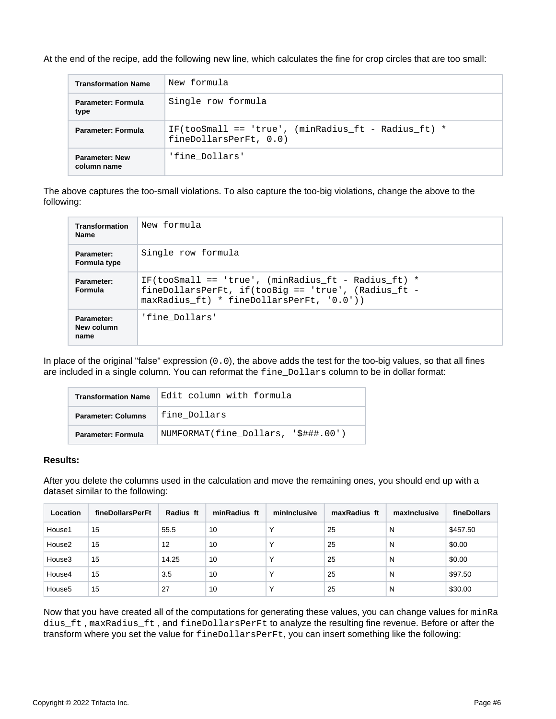At the end of the recipe, add the following new line, which calculates the fine for crop circles that are too small:

| <b>Transformation Name</b>           | New formula                                                                     |
|--------------------------------------|---------------------------------------------------------------------------------|
| Parameter: Formula<br>type           | Single row formula                                                              |
| Parameter: Formula                   | IF(tooSmall == 'true', (minRadius ft - Radius ft) $*$<br>fineDollarsPerFt, 0.0) |
| <b>Parameter: New</b><br>column name | 'fine Dollars'                                                                  |

The above captures the too-small violations. To also capture the too-big violations, change the above to the following:

| Transformation<br><b>Name</b>    | New formula                                                                                                                                               |
|----------------------------------|-----------------------------------------------------------------------------------------------------------------------------------------------------------|
| Parameter:<br>Formula type       | Single row formula                                                                                                                                        |
| Parameter:<br><b>Formula</b>     | IF(tooSmall == 'true', (minRadius ft - Radius ft) $*$<br>fineDollarsPerFt, if(tooBiq == 'true', (Radius ft -<br>maxRadius ft) * fineDollarsPerFt, '0.0')) |
| Parameter:<br>New column<br>name | 'fine Dollars'                                                                                                                                            |

In place of the original "false" expression (0.0), the above adds the test for the too-big values, so that all fines are included in a single column. You can reformat the fine\_Dollars column to be in dollar format:

| <b>Transformation Name</b> | Edit column with formula            |  |  |
|----------------------------|-------------------------------------|--|--|
| <b>Parameter: Columns</b>  | fine Dollars                        |  |  |
| Parameter: Formula         | NUMFORMAT(fine Dollars, '\$###.00') |  |  |

#### **Results:**

After you delete the columns used in the calculation and move the remaining ones, you should end up with a dataset similar to the following:

| Location           | fineDollarsPerFt | Radius ft | minRadius ft | mininclusive | maxRadius ft | maxinclusive | fineDollars |
|--------------------|------------------|-----------|--------------|--------------|--------------|--------------|-------------|
| House1             | 15               | 55.5      | 10           | $\check{ }$  | 25           | N            | \$457.50    |
| House2             | 15               | 12        | 10           | $\check{ }$  | 25           | N            | \$0.00      |
| House3             | 15               | 14.25     | 10           |              | 25           | N            | \$0.00      |
| House4             | 15               | 3.5       | 10           |              | 25           | N            | \$97.50     |
| House <sub>5</sub> | 15               | 27        | 10           |              | 25           | N            | \$30.00     |

Now that you have created all of the computations for generating these values, you can change values for minRa dius\_ft , maxRadius\_ft , and fineDollarsPerFt to analyze the resulting fine revenue. Before or after the transform where you set the value for fineDollarsPerFt, you can insert something like the following: